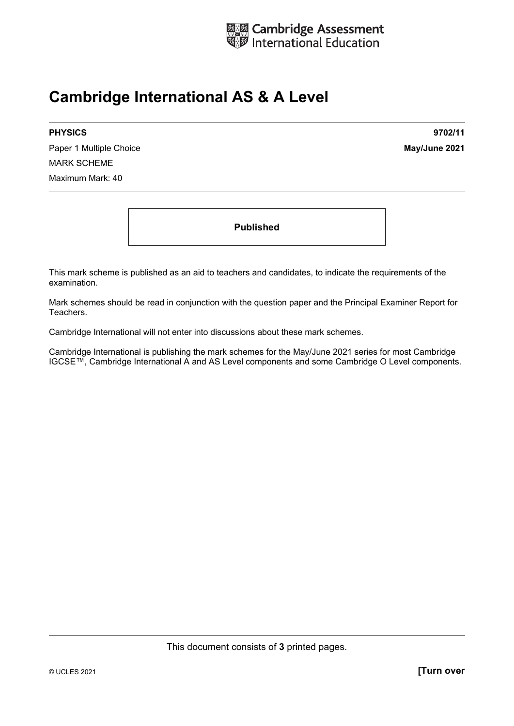

## **Cambridge International AS & A Level**

Paper 1 Multiple Choice **May/June 2021** MARK SCHEME Maximum Mark: 40

**PHYSICS 9702/11** 

**Published** 

This mark scheme is published as an aid to teachers and candidates, to indicate the requirements of the examination.

Mark schemes should be read in conjunction with the question paper and the Principal Examiner Report for Teachers.

Cambridge International will not enter into discussions about these mark schemes.

Cambridge International is publishing the mark schemes for the May/June 2021 series for most Cambridge IGCSE™, Cambridge International A and AS Level components and some Cambridge O Level components.

This document consists of **3** printed pages.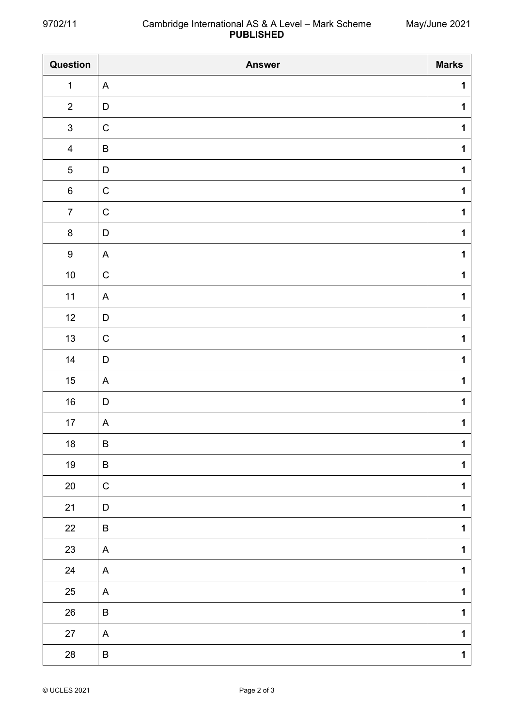| Question         | <b>Answer</b>             | <b>Marks</b> |
|------------------|---------------------------|--------------|
| $\mathbf{1}$     | $\mathsf{A}$              | $\mathbf{1}$ |
| $\overline{2}$   | D                         | $\mathbf{1}$ |
| $\mathbf{3}$     | ${\bf C}$                 | $\mathbf{1}$ |
| $\overline{4}$   | $\sf B$                   | $\mathbf 1$  |
| 5                | D                         | $\mathbf 1$  |
| $\,6\,$          | $\mathsf C$               | $\mathbf 1$  |
| $\overline{7}$   | $\mathsf C$               | $\mathbf 1$  |
| $\bf 8$          | $\mathsf D$               | $\mathbf 1$  |
| $\boldsymbol{9}$ | $\boldsymbol{\mathsf{A}}$ | $\mathbf 1$  |
| $10\,$           | $\mathsf C$               | $\mathbf{1}$ |
| $11$             | $\mathsf{A}$              | $\mathbf 1$  |
| 12               | D                         | $\mathbf 1$  |
| 13               | $\mathsf C$               | $\mathbf{1}$ |
| 14               | $\mathsf D$               | $\mathbf{1}$ |
| $15\,$           | A                         | $\mathbf 1$  |
| $16\,$           | $\mathsf D$               | $\mathbf{1}$ |
| $17$             | A                         | $\mathbf 1$  |
| $18\,$           | B                         | 1            |
| $19$             | $\sf B$                   | $\mathbf 1$  |
| $20\,$           | $\mathsf C$               | $\mathbf{1}$ |
| 21               | D                         | $\mathbf 1$  |
| 22               | $\sf B$                   | $\mathbf 1$  |
| 23               | $\mathsf{A}$              | $\mathbf{1}$ |
| 24               | $\boldsymbol{\mathsf{A}}$ | $\mathbf{1}$ |
| $25\,$           | A                         | $\mathbf{1}$ |
| $26\,$           | $\sf B$                   | $\mathbf 1$  |
| $27\,$           | A                         | $\mathbf 1$  |
| $28\,$           | $\sf B$                   | $\mathbf 1$  |